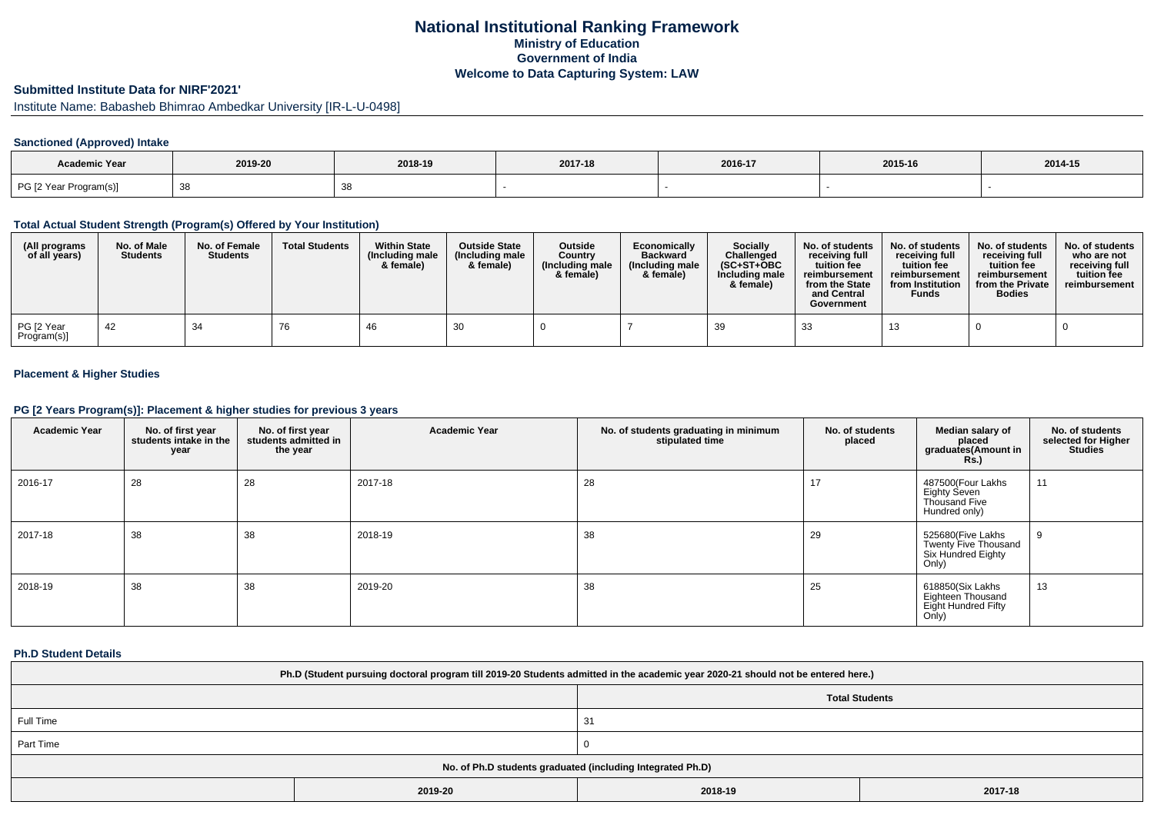## **National Institutional Ranking FrameworkMinistry of Education Government of IndiaWelcome to Data Capturing System: LAW**

## **Submitted Institute Data for NIRF'2021'**

Institute Name: Babasheb Bhimrao Ambedkar University [IR-L-U-0498]

## **Sanctioned (Approved) Intake**

| <b>Academic Year</b>   | 2019-20 | 2018-19 | 2017-18 | 2016-17 | 2015-16 | 2014-15 |
|------------------------|---------|---------|---------|---------|---------|---------|
| PG [2 Year Program(s)] | ັບ      |         |         |         |         |         |

### **Total Actual Student Strength (Program(s) Offered by Your Institution)**

| (All programs<br>of all years) | No. of Male<br><b>Students</b> | No. of Female<br><b>Students</b> | <b>Total Students</b> | <b>Within State</b><br>(Including male<br>& female) | <b>Outside State</b><br>(Including male)<br>& female) | <b>Outside</b><br>Country<br>(Including male<br>& female) | Economically<br><b>Backward</b><br>(Including male<br>& female) | <b>Socially</b><br>Challenged<br>$(SC+ST+OBC$<br>Including male<br>& female) | No. of students<br>receiving full<br>tuition fee<br>reimbursement<br>from the State<br>and Central<br>Government | No. of students<br>receiving full<br>tuition fee<br>reimbursement<br>from Institution<br><b>Funds</b> | No. of students<br>receiving full<br>tuition fee<br>reimbursement<br>from the Private<br><b>Bodies</b> | No. of students<br>who are not<br>receiving full<br>tuition fee<br>reimbursement |
|--------------------------------|--------------------------------|----------------------------------|-----------------------|-----------------------------------------------------|-------------------------------------------------------|-----------------------------------------------------------|-----------------------------------------------------------------|------------------------------------------------------------------------------|------------------------------------------------------------------------------------------------------------------|-------------------------------------------------------------------------------------------------------|--------------------------------------------------------------------------------------------------------|----------------------------------------------------------------------------------|
| PG [2 Year<br>Program(s)]      | -42                            | 34                               | 76                    | -46                                                 | -30                                                   |                                                           |                                                                 | 39                                                                           | 33                                                                                                               | ن ا                                                                                                   |                                                                                                        |                                                                                  |

## **Placement & Higher Studies**

### **PG [2 Years Program(s)]: Placement & higher studies for previous 3 years**

| <b>Academic Year</b> | No. of first year<br>students intake in the<br>year | No. of first year<br>students admitted in<br>the year | <b>Academic Year</b> | No. of students graduating in minimum<br>stipulated time | No. of students<br>placed | Median salary of<br>placed<br>graduates(Amount in<br><b>Rs.)</b>         | No. of students<br>selected for Higher<br><b>Studies</b> |
|----------------------|-----------------------------------------------------|-------------------------------------------------------|----------------------|----------------------------------------------------------|---------------------------|--------------------------------------------------------------------------|----------------------------------------------------------|
| 2016-17              | 28                                                  | 28                                                    | 2017-18              | 28                                                       | 17                        | 487500(Four Lakhs<br>Eighty Seven<br>Thousand Five<br>Hundred only)      | 11                                                       |
| 2017-18              | 38                                                  | 38                                                    | 2018-19              | 38                                                       | 29                        | 525680(Five Lakhs<br>Twenty Five Thousand<br>Six Hundred Eighty<br>Only) | 9                                                        |
| 2018-19              | 38                                                  | 38                                                    | 2019-20              | 38                                                       | 25                        | 618850(Six Lakhs<br>Eighteen Thousand<br>Eight Hundred Fifty<br>Only)    | 13                                                       |

#### **Ph.D Student Details**

| Ph.D (Student pursuing doctoral program till 2019-20 Students admitted in the academic year 2020-21 should not be entered here.) |     |  |  |  |  |
|----------------------------------------------------------------------------------------------------------------------------------|-----|--|--|--|--|
| <b>Total Students</b>                                                                                                            |     |  |  |  |  |
| Full Time                                                                                                                        | -31 |  |  |  |  |
| Part Time                                                                                                                        |     |  |  |  |  |
| No. of Ph.D students graduated (including Integrated Ph.D)                                                                       |     |  |  |  |  |

| 2019-20 | 2018-19 | 2017-18 |
|---------|---------|---------|
|         |         |         |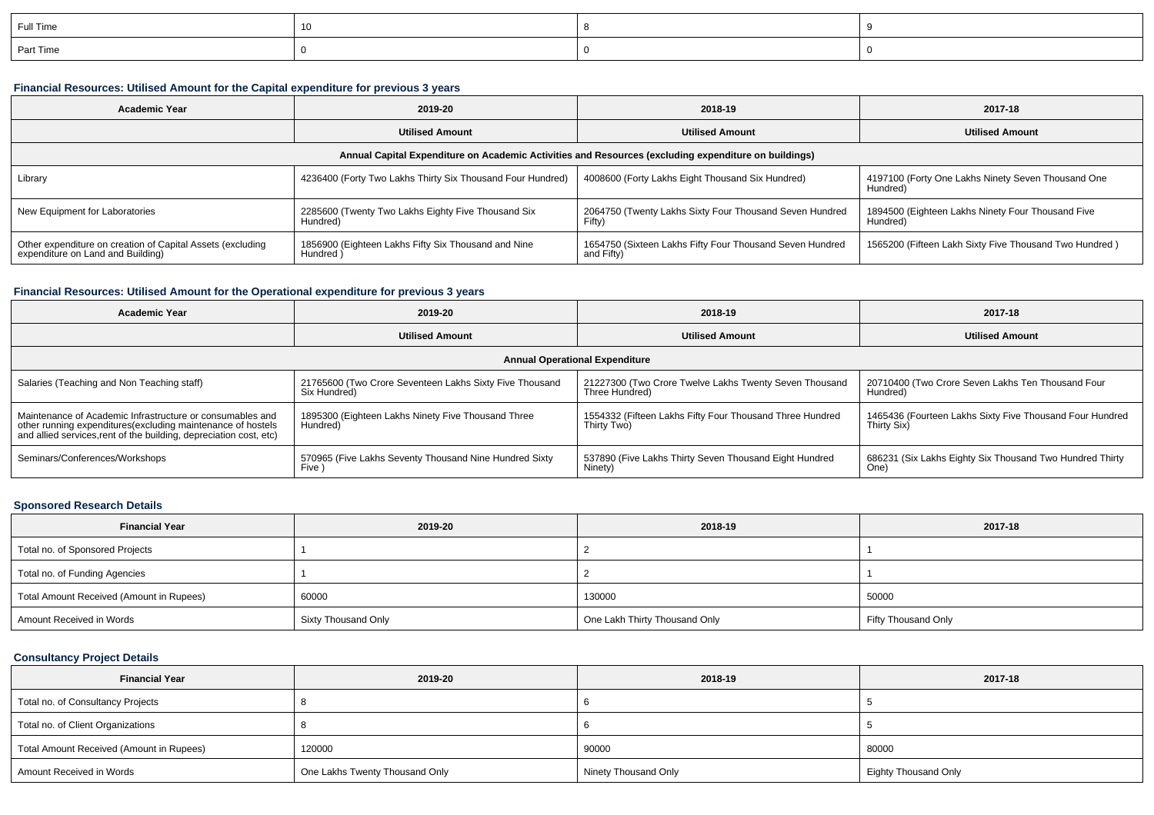| Full Time |  |  |
|-----------|--|--|
| Part Time |  |  |

# **Financial Resources: Utilised Amount for the Capital expenditure for previous 3 years**

| <b>Academic Year</b>                                                                                 | 2019-20                                                         | 2018-19                                                                | 2017-18                                                        |  |  |  |  |  |
|------------------------------------------------------------------------------------------------------|-----------------------------------------------------------------|------------------------------------------------------------------------|----------------------------------------------------------------|--|--|--|--|--|
|                                                                                                      | <b>Utilised Amount</b>                                          | <b>Utilised Amount</b>                                                 | <b>Utilised Amount</b>                                         |  |  |  |  |  |
| Annual Capital Expenditure on Academic Activities and Resources (excluding expenditure on buildings) |                                                                 |                                                                        |                                                                |  |  |  |  |  |
| Library                                                                                              | 4236400 (Forty Two Lakhs Thirty Six Thousand Four Hundred)      | 4008600 (Forty Lakhs Eight Thousand Six Hundred)                       | 4197100 (Forty One Lakhs Ninety Seven Thousand One<br>Hundred) |  |  |  |  |  |
| New Equipment for Laboratories                                                                       | 2285600 (Twenty Two Lakhs Eighty Five Thousand Six<br>Hundred)  | 2064750 (Twenty Lakhs Sixty Four Thousand Seven Hundred<br>Fifty)      | 1894500 (Eighteen Lakhs Ninety Four Thousand Five<br>Hundred)  |  |  |  |  |  |
| Other expenditure on creation of Capital Assets (excluding<br>expenditure on Land and Building)      | 1856900 (Eighteen Lakhs Fifty Six Thousand and Nine<br>Hundred) | 1654750 (Sixteen Lakhs Fifty Four Thousand Seven Hundred<br>and Fifty) | 1565200 (Fifteen Lakh Sixty Five Thousand Two Hundred)         |  |  |  |  |  |

## **Financial Resources: Utilised Amount for the Operational expenditure for previous 3 years**

| <b>Academic Year</b>                                                                                                              | 2019-20                                                 | 2018-19                                                  | 2017-18                                                  |  |  |  |  |  |
|-----------------------------------------------------------------------------------------------------------------------------------|---------------------------------------------------------|----------------------------------------------------------|----------------------------------------------------------|--|--|--|--|--|
|                                                                                                                                   | <b>Utilised Amount</b>                                  | <b>Utilised Amount</b>                                   | <b>Utilised Amount</b>                                   |  |  |  |  |  |
| <b>Annual Operational Expenditure</b>                                                                                             |                                                         |                                                          |                                                          |  |  |  |  |  |
| Salaries (Teaching and Non Teaching staff)                                                                                        | 21765600 (Two Crore Seventeen Lakhs Sixty Five Thousand | 21227300 (Two Crore Twelve Lakhs Twenty Seven Thousand   | 20710400 (Two Crore Seven Lakhs Ten Thousand Four        |  |  |  |  |  |
|                                                                                                                                   | Six Hundred)                                            | Three Hundred)                                           | Hundred)                                                 |  |  |  |  |  |
| Maintenance of Academic Infrastructure or consumables and                                                                         | 1895300 (Eighteen Lakhs Ninety Five Thousand Three      | 1554332 (Fifteen Lakhs Fifty Four Thousand Three Hundred | 1465436 (Fourteen Lakhs Sixty Five Thousand Four Hundred |  |  |  |  |  |
| other running expenditures(excluding maintenance of hostels<br>and allied services, rent of the building, depreciation cost, etc) | Hundred)                                                | Thirty Two)                                              | Thirty Six)                                              |  |  |  |  |  |
| Seminars/Conferences/Workshops                                                                                                    | 570965 (Five Lakhs Seventy Thousand Nine Hundred Sixty  | 537890 (Five Lakhs Thirty Seven Thousand Eight Hundred   | 686231 (Six Lakhs Eighty Six Thousand Two Hundred Thirty |  |  |  |  |  |
|                                                                                                                                   | Five )                                                  | Ninety)                                                  | One)                                                     |  |  |  |  |  |

# **Sponsored Research Details**

| <b>Financial Year</b>                    | 2019-20             | 2018-19                       | 2017-18             |
|------------------------------------------|---------------------|-------------------------------|---------------------|
| Total no. of Sponsored Projects          |                     |                               |                     |
| Total no. of Funding Agencies            |                     |                               |                     |
| Total Amount Received (Amount in Rupees) | 60000               | 130000                        | 50000               |
| Amount Received in Words                 | Sixty Thousand Only | One Lakh Thirty Thousand Only | Fifty Thousand Only |

### **Consultancy Project Details**

| <b>Financial Year</b>                    | 2019-20                        | 2018-19              | 2017-18                     |
|------------------------------------------|--------------------------------|----------------------|-----------------------------|
| Total no. of Consultancy Projects        |                                |                      |                             |
| Total no. of Client Organizations        |                                |                      |                             |
| Total Amount Received (Amount in Rupees) | 120000                         | 90000                | 80000                       |
| Amount Received in Words                 | One Lakhs Twenty Thousand Only | Ninety Thousand Only | <b>Eighty Thousand Only</b> |